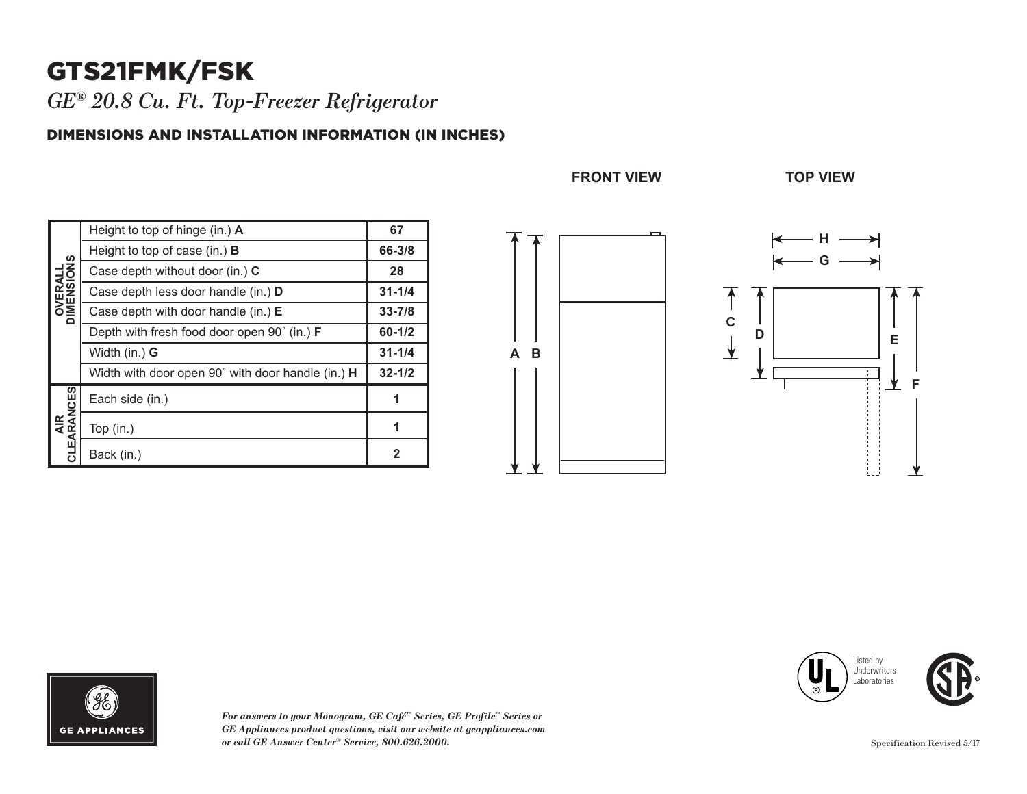# GTS21FMK/FSK

*GE® 20.8 Cu. Ft. Top-Freezer Refrigerator* 

#### DIMENSIONS AND INSTALLATION INFORMATION (IN INCHES)

| <b>OVERALL</b><br>DIMENSIONS | Height to top of hinge (in.) A                     | 67           |
|------------------------------|----------------------------------------------------|--------------|
|                              | Height to top of case (in.) $\bf{B}$               | 66-3/8       |
|                              | Case depth without door (in.) C                    | 28           |
|                              | Case depth less door handle (in.) D                | $31 - 1/4$   |
|                              | Case depth with door handle (in.) $E$              | $33 - 7/8$   |
|                              | Depth with fresh food door open 90° (in.) <b>F</b> | $60 - 1/2$   |
|                              | Width (in.) <b>G</b>                               | $31 - 1/4$   |
|                              | Width with door open 90° with door handle (in.) H  | $32 - 1/2$   |
| AIR<br>CLEARANCES            | Each side (in.)                                    | 1            |
|                              | Top (in.)                                          | 1            |
|                              | Back (in.)                                         | $\mathbf{2}$ |

**FRONT VIEW TOP VIEW**

**FRONT VIEW TOP VIEW**





**32-7/8 35-1/2**



*For answers to your Monogram, GE Café™ Series, GE Profile™ Series or GE Appliances product questions, visit our website at geappliances.com or call GE Answer Center® Service, 800.626.2000.*